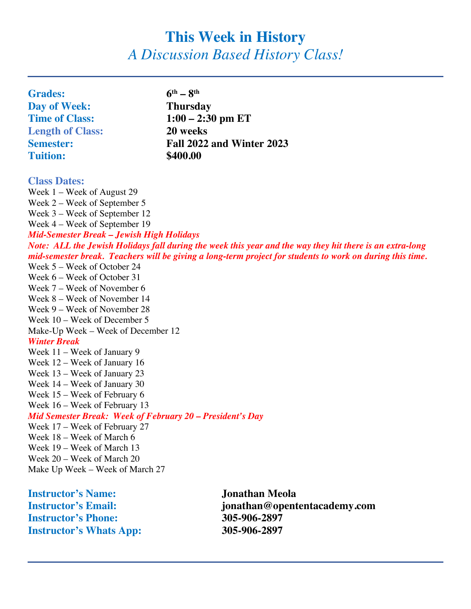# **This Week in History** *A Discussion Based History Class!*

| <b>Grades:</b>                                                                                           | $6^{th} - 8^{th}$                                                                                         |
|----------------------------------------------------------------------------------------------------------|-----------------------------------------------------------------------------------------------------------|
| Day of Week:                                                                                             | <b>Thursday</b>                                                                                           |
| <b>Time of Class:</b>                                                                                    | $1:00 - 2:30$ pm ET                                                                                       |
| <b>Length of Class:</b>                                                                                  | 20 weeks                                                                                                  |
| <b>Semester:</b>                                                                                         | Fall 2022 and Winter 2023                                                                                 |
| <b>Tuition:</b>                                                                                          | \$400.00                                                                                                  |
|                                                                                                          |                                                                                                           |
| <b>Class Dates:</b>                                                                                      |                                                                                                           |
| Week 1 - Week of August 29                                                                               |                                                                                                           |
| Week $2$ – Week of September 5                                                                           |                                                                                                           |
| Week 3 – Week of September 12                                                                            |                                                                                                           |
| Week 4 – Week of September 19                                                                            |                                                                                                           |
| Mid-Semester Break - Jewish High Holidays                                                                |                                                                                                           |
| Note: ALL the Jewish Holidays fall during the week this year and the way they hit there is an extra-long |                                                                                                           |
|                                                                                                          | mid-semester break. Teachers will be giving a long-term project for students to work on during this time. |
| Week 5 – Week of October 24                                                                              |                                                                                                           |
| Week 6 – Week of October 31                                                                              |                                                                                                           |
| Week 7 – Week of November 6                                                                              |                                                                                                           |
| Week 8 – Week of November 14                                                                             |                                                                                                           |
| Week 9 – Week of November 28                                                                             |                                                                                                           |
| Week 10 – Week of December 5                                                                             |                                                                                                           |
| Make-Up Week – Week of December 12                                                                       |                                                                                                           |
| <b>Winter Break</b>                                                                                      |                                                                                                           |
| Week 11 – Week of January 9                                                                              |                                                                                                           |
| Week 12 – Week of January 16                                                                             |                                                                                                           |
| Week 13 – Week of January 23                                                                             |                                                                                                           |
| Week 14 – Week of January 30                                                                             |                                                                                                           |
| Week $15$ – Week of February 6                                                                           |                                                                                                           |
| Week 16 – Week of February 13                                                                            |                                                                                                           |
| Mid Semester Break: Week of February 20 - President's Day                                                |                                                                                                           |
| Week 17 – Week of February 27                                                                            |                                                                                                           |
| Week 18 - Week of March 6                                                                                |                                                                                                           |
| Week 19 – Week of March 13                                                                               |                                                                                                           |
| Week 20 - Week of March 20                                                                               |                                                                                                           |
| Make Up Week – Week of March 27                                                                          |                                                                                                           |
|                                                                                                          |                                                                                                           |

**Instructor's Name: Instructor's Name: Instructor's Email: Instructor's Email: Instructor's Email: Instructor's Phone:** 305-906-2897<br> **Instructor's Whats App:** 305-906-2897 **Instructor's Whats App:** 

**Instructor's Email: jonathan@opententacademy.com**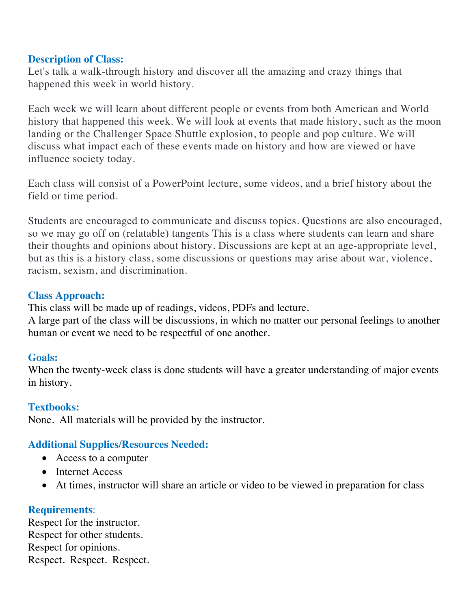#### **Description of Class:**

Let's talk a walk-through history and discover all the amazing and crazy things that happened this week in world history.

Each week we will learn about different people or events from both American and World history that happened this week. We will look at events that made history, such as the moon landing or the Challenger Space Shuttle explosion, to people and pop culture. We will discuss what impact each of these events made on history and how are viewed or have influence society today.

Each class will consist of a PowerPoint lecture, some videos, and a brief history about the field or time period.

Students are encouraged to communicate and discuss topics. Questions are also encouraged, so we may go off on (relatable) tangents This is a class where students can learn and share their thoughts and opinions about history. Discussions are kept at an age-appropriate level, but as this is a history class, some discussions or questions may arise about war, violence, racism, sexism, and discrimination.

# **Class Approach:**

This class will be made up of readings, videos, PDFs and lecture.

A large part of the class will be discussions, in which no matter our personal feelings to another human or event we need to be respectful of one another.

## **Goals:**

When the twenty-week class is done students will have a greater understanding of major events in history.

## **Textbooks:**

None. All materials will be provided by the instructor.

## **Additional Supplies/Resources Needed:**

- Access to a computer
- Internet Access
- At times, instructor will share an article or video to be viewed in preparation for class

## **Requirements**:

Respect for the instructor. Respect for other students. Respect for opinions. Respect. Respect. Respect.